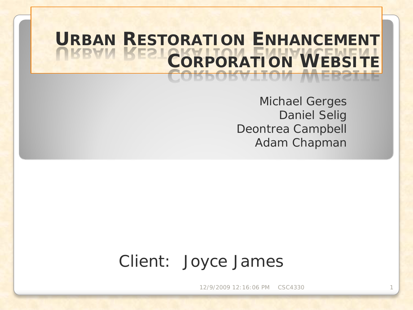## **URBAN RESTORATION ENHANCEMENT CORPORATION WEBSITE**

Michael Gerges Daniel Selig Deontrea Campbell Adam Chapman

#### Client: Joyce James

12/9/2009 12:16:06 PM CSC4330 1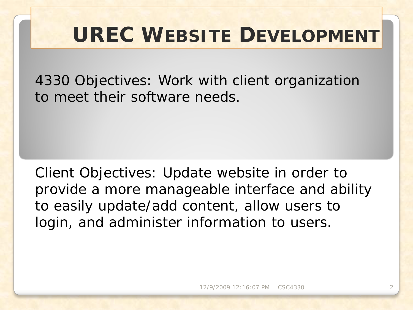#### **UREC WEBSITE DEVELOPMENT**

4330 Objectives: Work with client organization to meet their software needs.

Client Objectives: Update website in order to provide a more manageable interface and ability to easily update/add content, allow users to login, and administer information to users.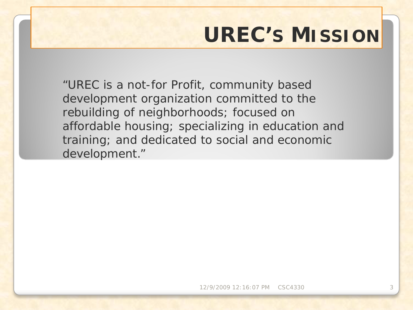## **UREC'S MISSION**

"UREC is a not-for Profit, community based development organization committed to the rebuilding of neighborhoods; focused on affordable housing; specializing in education and training; and dedicated to social and economic development."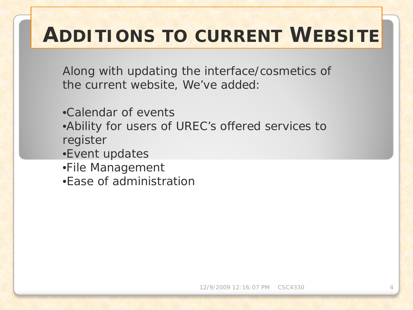Along with updating the interface/cosmetics of the current website, We've added:

- •Calendar of events •Ability for users of UREC's offered services to register •Event updates •File Management
- •Ease of administration

12/9/2009 12:16:07 PM CSC4330 4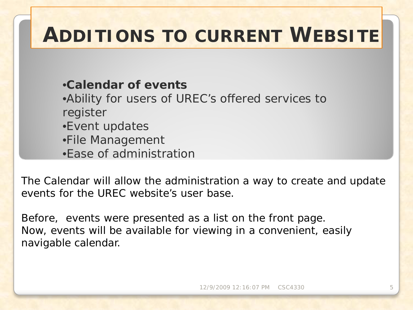•**Calendar of events**

•Ability for users of UREC's offered services to register

- •Event updates
- •File Management
- •Ease of administration

The Calendar will allow the administration a way to create and update events for the UREC website's user base.

Before, events were presented as a list on the front page. Now, events will be available for viewing in a convenient, easily navigable calendar.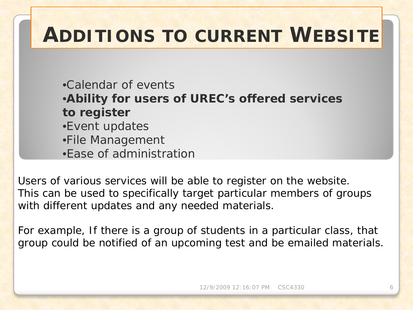•Calendar of events •**Ability for users of UREC's offered services to register** •Event updates •File Management •Ease of administration

Users of various services will be able to register on the website. This can be used to specifically target particular members of groups with different updates and any needed materials.

For example, If there is a group of students in a particular class, that group could be notified of an upcoming test and be emailed materials.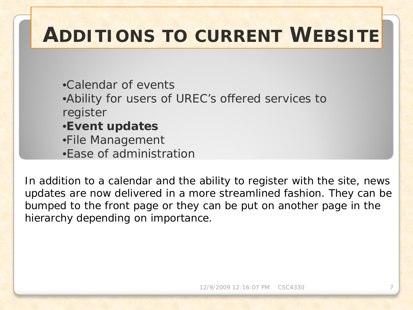•Calendar of events •Ability for users of UREC's offered services to register •**Event updates** •File Management •Ease of administration

In addition to a calendar and the ability to register with the site, news updates are now delivered in a more streamlined fashion. They can be bumped to the front page or they can be put on another page in the hierarchy depending on importance.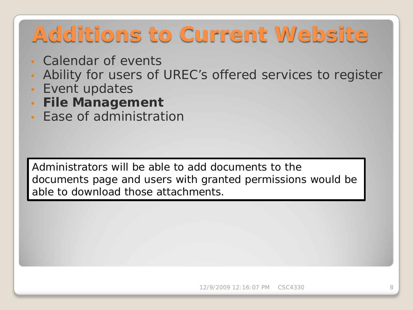# **Additions to Current Website**

- Calendar of events
- Ability for users of UREC's offered services to register
- Event updates
- **File Management**
- Ease of administration

Administrators will be able to add documents to the documents page and users with granted permissions would be able to download those attachments.